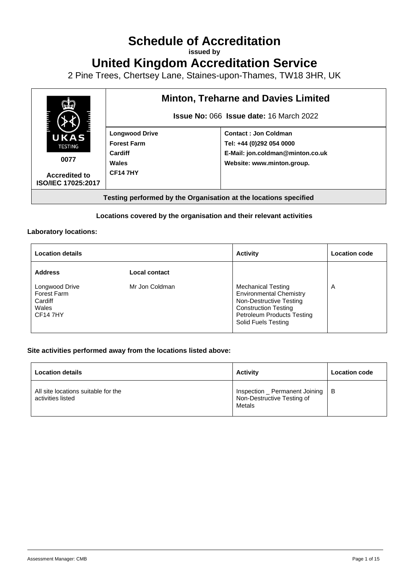# **Schedule of Accreditation**

**issued by**

## **United Kingdom Accreditation Service**

2 Pine Trees, Chertsey Lane, Staines-upon-Thames, TW18 3HR, UK



## **Locations covered by the organisation and their relevant activities**

#### **Laboratory locations:**

| <b>Location details</b>                                                    |                | <b>Activity</b>                                                                                                                                                                   | <b>Location code</b> |
|----------------------------------------------------------------------------|----------------|-----------------------------------------------------------------------------------------------------------------------------------------------------------------------------------|----------------------|
| <b>Address</b>                                                             | Local contact  |                                                                                                                                                                                   |                      |
| Longwood Drive<br><b>Forest Farm</b><br>Cardiff<br>Wales<br><b>CF147HY</b> | Mr Jon Coldman | <b>Mechanical Testing</b><br><b>Environmental Chemistry</b><br>Non-Destructive Testing<br><b>Construction Testing</b><br><b>Petroleum Products Testing</b><br>Solid Fuels Testing | A                    |

### **Site activities performed away from the locations listed above:**

| <b>Location details</b>                                  | <b>Activity</b>                                                        | <b>Location code</b> |
|----------------------------------------------------------|------------------------------------------------------------------------|----------------------|
| All site locations suitable for the<br>activities listed | Inspection _ Permanent Joining<br>Non-Destructive Testing of<br>Metals | - B                  |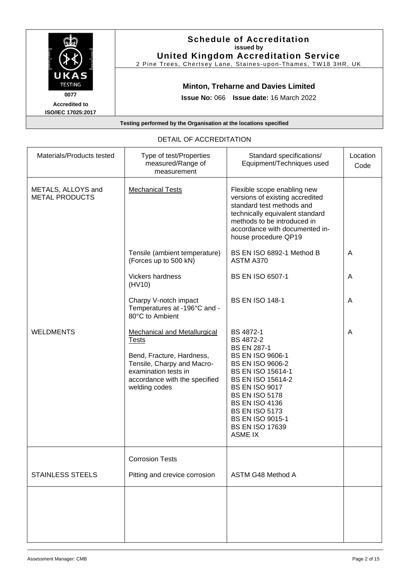|                                                                                     | <b>Schedule of Accreditation</b><br>issued by<br><b>United Kingdom Accreditation Service</b><br>2 Pine Trees, Chertsey Lane, Staines-upon-Thames, TW18 3HR, UK |
|-------------------------------------------------------------------------------------|----------------------------------------------------------------------------------------------------------------------------------------------------------------|
| UKAS<br><b>TESTING</b><br>0077<br><b>Accredited to</b><br><b>ISO/IEC 17025:2017</b> | <b>Minton, Treharne and Davies Limited</b><br><b>Issue No: 066 Issue date: 16 March 2022</b>                                                                   |
|                                                                                     | Testing performed by the Organisation at the locations specified                                                                                               |

| Materials/Products tested                   | Type of test/Properties<br>measured/Range of<br>measurement                                                                                                                              | Standard specifications/<br>Equipment/Techniques used                                                                                                                                                                                                                                                                                        | Location<br>Code |
|---------------------------------------------|------------------------------------------------------------------------------------------------------------------------------------------------------------------------------------------|----------------------------------------------------------------------------------------------------------------------------------------------------------------------------------------------------------------------------------------------------------------------------------------------------------------------------------------------|------------------|
| METALS, ALLOYS and<br><b>METAL PRODUCTS</b> | <b>Mechanical Tests</b>                                                                                                                                                                  | Flexible scope enabling new<br>versions of existing accredited<br>standard test methods and<br>technically equivalent standard<br>methods to be introduced in<br>accordance with documented in-<br>house procedure QP19                                                                                                                      |                  |
|                                             | Tensile (ambient temperature)<br>(Forces up to 500 kN)                                                                                                                                   | BS EN ISO 6892-1 Method B<br>ASTM A370                                                                                                                                                                                                                                                                                                       | A                |
|                                             | Vickers hardness<br>(HV10)                                                                                                                                                               | <b>BS EN ISO 6507-1</b>                                                                                                                                                                                                                                                                                                                      | A                |
|                                             | Charpy V-notch impact<br>Temperatures at -196°C and -<br>80°C to Ambient                                                                                                                 | <b>BS EN ISO 148-1</b>                                                                                                                                                                                                                                                                                                                       | A                |
| <b>WELDMENTS</b>                            | <b>Mechanical and Metallurgical</b><br><b>Tests</b><br>Bend, Fracture, Hardness,<br>Tensile, Charpy and Macro-<br>examination tests in<br>accordance with the specified<br>welding codes | <b>BS 4872-1</b><br>BS 4872-2<br><b>BS EN 287-1</b><br><b>BS EN ISO 9606-1</b><br><b>BS EN ISO 9606-2</b><br><b>BS EN ISO 15614-1</b><br><b>BS EN ISO 15614-2</b><br><b>BS EN ISO 9017</b><br><b>BS EN ISO 5178</b><br><b>BS EN ISO 4136</b><br><b>BS EN ISO 5173</b><br><b>BS EN ISO 9015-1</b><br><b>BS EN ISO 17639</b><br><b>ASME IX</b> | A                |
|                                             | <b>Corrosion Tests</b>                                                                                                                                                                   |                                                                                                                                                                                                                                                                                                                                              |                  |
| <b>STAINLESS STEELS</b>                     | Pitting and crevice corrosion                                                                                                                                                            | ASTM G48 Method A                                                                                                                                                                                                                                                                                                                            |                  |
|                                             |                                                                                                                                                                                          |                                                                                                                                                                                                                                                                                                                                              |                  |

### DETAIL OF ACCREDITATION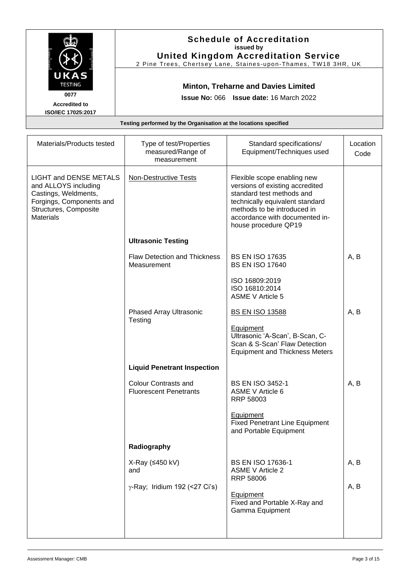|                                                                                                                                                        |                                                                  | <b>Schedule of Accreditation</b><br>issued by<br><b>United Kingdom Accreditation Service</b><br>2 Pine Trees, Chertsey Lane, Staines-upon-Thames, TW18 3HR, UK                                                          |                  |
|--------------------------------------------------------------------------------------------------------------------------------------------------------|------------------------------------------------------------------|-------------------------------------------------------------------------------------------------------------------------------------------------------------------------------------------------------------------------|------------------|
| UKAS<br><b>TESTING</b><br>0077<br><b>Accredited to</b><br>ISO/IEC 17025:2017                                                                           | Testing performed by the Organisation at the locations specified | <b>Minton, Treharne and Davies Limited</b><br>Issue No: 066 Issue date: 16 March 2022                                                                                                                                   |                  |
| Materials/Products tested                                                                                                                              | Type of test/Properties<br>measured/Range of<br>measurement      | Standard specifications/<br>Equipment/Techniques used                                                                                                                                                                   | Location<br>Code |
| <b>LIGHT and DENSE METALS</b><br>and ALLOYS including<br>Castings, Weldments,<br>Forgings, Components and<br>Structures, Composite<br><b>Materials</b> | <b>Non-Destructive Tests</b>                                     | Flexible scope enabling new<br>versions of existing accredited<br>standard test methods and<br>technically equivalent standard<br>methods to be introduced in<br>accordance with documented in-<br>house procedure QP19 |                  |
|                                                                                                                                                        | <b>Ultrasonic Testing</b>                                        |                                                                                                                                                                                                                         |                  |
|                                                                                                                                                        | Flaw Detection and Thickness<br>Measurement                      | <b>BS EN ISO 17635</b><br><b>BS EN ISO 17640</b>                                                                                                                                                                        | A, B             |
|                                                                                                                                                        |                                                                  | ISO 16809:2019<br>ISO 16810:2014<br><b>ASME V Article 5</b>                                                                                                                                                             |                  |
|                                                                                                                                                        | <b>Phased Array Ultrasonic</b><br>Testing                        | <b>BS EN ISO 13588</b><br><b>Equipment</b><br>Ultrasonic 'A-Scan', B-Scan, C-<br>Scan & S-Scan' Flaw Detection<br><b>Equipment and Thickness Meters</b>                                                                 | A, B             |
|                                                                                                                                                        | <b>Liquid Penetrant Inspection</b>                               |                                                                                                                                                                                                                         |                  |
|                                                                                                                                                        | <b>Colour Contrasts and</b><br><b>Fluorescent Penetrants</b>     | <b>BS EN ISO 3452-1</b><br><b>ASME V Article 6</b><br>RRP 58003                                                                                                                                                         | A, B             |
|                                                                                                                                                        |                                                                  | Equipment<br><b>Fixed Penetrant Line Equipment</b><br>and Portable Equipment                                                                                                                                            |                  |
|                                                                                                                                                        | Radiography                                                      |                                                                                                                                                                                                                         |                  |
|                                                                                                                                                        | X-Ray (≤450 kV)<br>and<br>$\gamma$ -Ray; Iridium 192 (<27 Ci's)  | BS EN ISO 17636-1<br><b>ASME V Article 2</b><br><b>RRP 58006</b><br>Equipment<br>Fixed and Portable X-Ray and<br>Gamma Equipment                                                                                        | A, B<br>A, B     |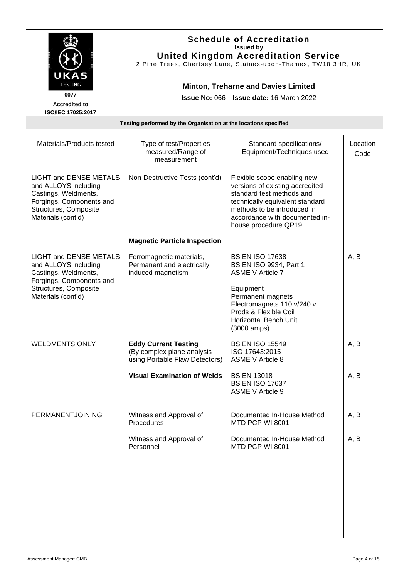|                                                                                                                                                          | <b>Schedule of Accreditation</b><br>issued by<br><b>United Kingdom Accreditation Service</b><br>2 Pine Trees, Chertsey Lane, Staines-upon-Thames, TW18 3HR, UK |                                                                                                                                                                                                                               |                  |
|----------------------------------------------------------------------------------------------------------------------------------------------------------|----------------------------------------------------------------------------------------------------------------------------------------------------------------|-------------------------------------------------------------------------------------------------------------------------------------------------------------------------------------------------------------------------------|------------------|
| <b>TESTING</b><br>0077<br><b>Accredited to</b><br>ISO/IEC 17025:2017                                                                                     |                                                                                                                                                                | <b>Minton, Treharne and Davies Limited</b><br><b>Issue No: 066 Issue date: 16 March 2022</b>                                                                                                                                  |                  |
|                                                                                                                                                          | Testing performed by the Organisation at the locations specified                                                                                               |                                                                                                                                                                                                                               |                  |
| Materials/Products tested                                                                                                                                | Type of test/Properties<br>measured/Range of<br>measurement                                                                                                    | Standard specifications/<br>Equipment/Techniques used                                                                                                                                                                         | Location<br>Code |
| <b>LIGHT and DENSE METALS</b><br>and ALLOYS including<br>Castings, Weldments,<br>Forgings, Components and<br>Structures, Composite<br>Materials (cont'd) | Non-Destructive Tests (cont'd)                                                                                                                                 | Flexible scope enabling new<br>versions of existing accredited<br>standard test methods and<br>technically equivalent standard<br>methods to be introduced in<br>accordance with documented in-<br>house procedure QP19       |                  |
|                                                                                                                                                          | <b>Magnetic Particle Inspection</b>                                                                                                                            |                                                                                                                                                                                                                               |                  |
| <b>LIGHT and DENSE METALS</b><br>and ALLOYS including<br>Castings, Weldments,<br>Forgings, Components and<br>Structures, Composite<br>Materials (cont'd) | Ferromagnetic materials,<br>Permanent and electrically<br>induced magnetism                                                                                    | <b>BS EN ISO 17638</b><br>BS EN ISO 9934, Part 1<br><b>ASME V Article 7</b><br>Equipment<br>Permanent magnets<br>Electromagnets 110 v/240 v<br>Prods & Flexible Coil<br><b>Horizontal Bench Unit</b><br>$(3000 \text{ amps})$ | A, B             |
| <b>WELDMENTS ONLY</b>                                                                                                                                    | <b>Eddy Current Testing</b><br>(By complex plane analysis<br>using Portable Flaw Detectors)                                                                    | <b>BS EN ISO 15549</b><br>ISO 17643:2015<br><b>ASME V Article 8</b>                                                                                                                                                           | A, B             |
|                                                                                                                                                          | <b>Visual Examination of Welds</b>                                                                                                                             | <b>BS EN 13018</b><br><b>BS EN ISO 17637</b><br><b>ASME V Article 9</b>                                                                                                                                                       | A, B             |
| <b>PERMANENTJOINING</b>                                                                                                                                  | Witness and Approval of<br>Procedures                                                                                                                          | Documented In-House Method<br>MTD PCP WI 8001                                                                                                                                                                                 | A, B             |
|                                                                                                                                                          | Witness and Approval of<br>Personnel                                                                                                                           | Documented In-House Method<br>MTD PCP WI 8001                                                                                                                                                                                 | A, B             |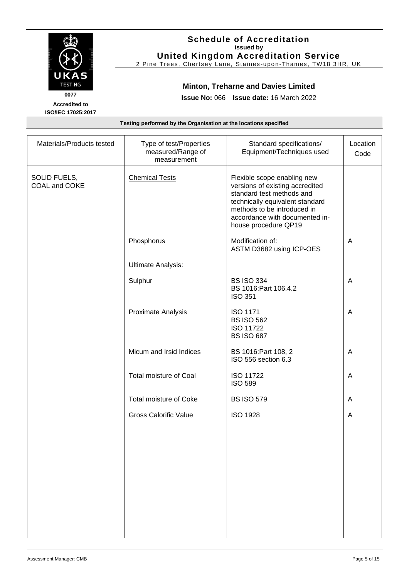|                                                                                                                                                                                     |                                                                  | <b>Schedule of Accreditation</b><br>issued by<br><b>United Kingdom Accreditation Service</b><br>2 Pine Trees, Chertsey Lane, Staines-upon-Thames, TW18 3HR, UK |                  |
|-------------------------------------------------------------------------------------------------------------------------------------------------------------------------------------|------------------------------------------------------------------|----------------------------------------------------------------------------------------------------------------------------------------------------------------|------------------|
| UKAS<br><b>TESTING</b><br><b>Minton, Treharne and Davies Limited</b><br>0077<br><b>Issue No: 066 Issue date: 16 March 2022</b><br><b>Accredited to</b><br><b>ISO/IEC 17025:2017</b> |                                                                  |                                                                                                                                                                |                  |
|                                                                                                                                                                                     | Testing performed by the Organisation at the locations specified |                                                                                                                                                                |                  |
| Materials/Products tested                                                                                                                                                           | Type of test/Properties<br>measured/Range of<br>measurement      | Standard specifications/<br>Equipment/Techniques used                                                                                                          | Location<br>Code |

|                               | measured/Range of<br>measurement | Equipment/Techniques used                                                                                                                                                                                               | Code |
|-------------------------------|----------------------------------|-------------------------------------------------------------------------------------------------------------------------------------------------------------------------------------------------------------------------|------|
| SOLID FUELS,<br>COAL and COKE | <b>Chemical Tests</b>            | Flexible scope enabling new<br>versions of existing accredited<br>standard test methods and<br>technically equivalent standard<br>methods to be introduced in<br>accordance with documented in-<br>house procedure QP19 |      |
|                               | Phosphorus                       | Modification of:<br>ASTM D3682 using ICP-OES                                                                                                                                                                            | A    |
|                               | <b>Ultimate Analysis:</b>        |                                                                                                                                                                                                                         |      |
|                               | Sulphur                          | <b>BS ISO 334</b><br>BS 1016:Part 106.4.2<br><b>ISO 351</b>                                                                                                                                                             | A    |
|                               | Proximate Analysis               | <b>ISO 1171</b><br><b>BS ISO 562</b><br><b>ISO 11722</b><br><b>BS ISO 687</b>                                                                                                                                           | A    |
|                               | Micum and Irsid Indices          | BS 1016: Part 108, 2<br>ISO 556 section 6.3                                                                                                                                                                             | A    |
|                               | Total moisture of Coal           | <b>ISO 11722</b><br><b>ISO 589</b>                                                                                                                                                                                      | A    |
|                               | Total moisture of Coke           | <b>BS ISO 579</b>                                                                                                                                                                                                       | A    |
|                               | <b>Gross Calorific Value</b>     | <b>ISO 1928</b>                                                                                                                                                                                                         | A    |
|                               |                                  |                                                                                                                                                                                                                         |      |
|                               |                                  |                                                                                                                                                                                                                         |      |
|                               |                                  |                                                                                                                                                                                                                         |      |
|                               |                                  |                                                                                                                                                                                                                         |      |
|                               |                                  |                                                                                                                                                                                                                         |      |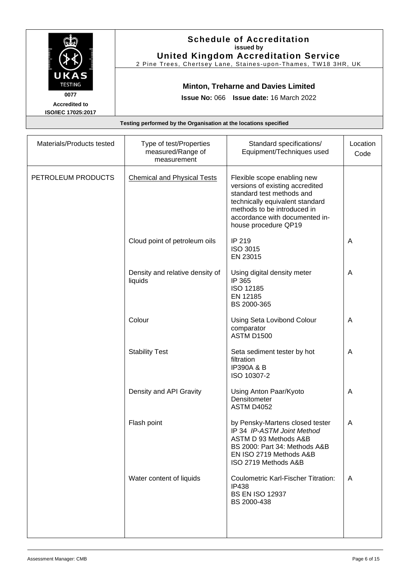| UKAS<br><b>TESTING</b><br>0077<br><b>Accredited to</b> | <b>Schedule of Accreditation</b><br>issued by<br><b>United Kingdom Accreditation Service</b><br>2 Pine Trees, Chertsey Lane, Staines-upon-Thames, TW18 3HR, UK<br><b>Minton, Treharne and Davies Limited</b><br><b>Issue No: 066 Issue date: 16 March 2022</b> |
|--------------------------------------------------------|----------------------------------------------------------------------------------------------------------------------------------------------------------------------------------------------------------------------------------------------------------------|
| <b>ISO/IEC 17025:2017</b>                              |                                                                                                                                                                                                                                                                |
|                                                        | Testing performed by the Organisation at the locations specified                                                                                                                                                                                               |
|                                                        |                                                                                                                                                                                                                                                                |

| Materials/Products tested | Type of test/Properties<br>measured/Range of<br>measurement | Standard specifications/<br>Equipment/Techniques used                                                                                                                                                                   | Location<br>Code |
|---------------------------|-------------------------------------------------------------|-------------------------------------------------------------------------------------------------------------------------------------------------------------------------------------------------------------------------|------------------|
| PETROLEUM PRODUCTS        | <b>Chemical and Physical Tests</b>                          | Flexible scope enabling new<br>versions of existing accredited<br>standard test methods and<br>technically equivalent standard<br>methods to be introduced in<br>accordance with documented in-<br>house procedure QP19 |                  |
|                           | Cloud point of petroleum oils                               | IP 219<br><b>ISO 3015</b><br>EN 23015                                                                                                                                                                                   | A                |
|                           | Density and relative density of<br>liquids                  | Using digital density meter<br>IP 365<br>ISO 12185<br>EN 12185<br>BS 2000-365                                                                                                                                           | A                |
|                           | Colour                                                      | Using Seta Lovibond Colour<br>comparator<br><b>ASTM D1500</b>                                                                                                                                                           | A                |
|                           | <b>Stability Test</b>                                       | Seta sediment tester by hot<br>filtration<br><b>IP390A &amp; B</b><br>ISO 10307-2                                                                                                                                       | A                |
|                           | Density and API Gravity                                     | Using Anton Paar/Kyoto<br>Densitometer<br><b>ASTM D4052</b>                                                                                                                                                             | A                |
|                           | Flash point                                                 | by Pensky-Martens closed tester<br>IP 34 IP-ASTM Joint Method<br>ASTM D 93 Methods A&B<br>BS 2000: Part 34: Methods A&B<br>EN ISO 2719 Methods A&B<br>ISO 2719 Methods A&B                                              | A                |
|                           | Water content of liquids                                    | <b>Coulometric Karl-Fischer Titration:</b><br><b>IP438</b><br><b>BS EN ISO 12937</b><br>BS 2000-438                                                                                                                     | $\mathsf{A}$     |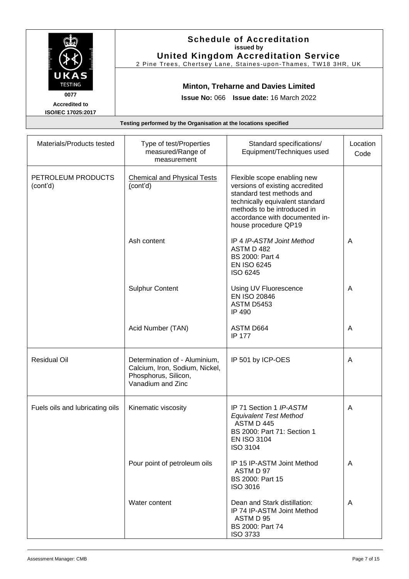|                                                                              |                                                                  | <b>Schedule of Accreditation</b><br>issued by<br><b>United Kingdom Accreditation Service</b><br>2 Pine Trees, Chertsey Lane, Staines-upon-Thames, TW18 3HR, UK                                                          |                  |
|------------------------------------------------------------------------------|------------------------------------------------------------------|-------------------------------------------------------------------------------------------------------------------------------------------------------------------------------------------------------------------------|------------------|
| UKAS<br><b>TESTING</b><br>0077<br><b>Accredited to</b><br>ISO/IEC 17025:2017 |                                                                  | <b>Minton, Treharne and Davies Limited</b><br>Issue No: 066 Issue date: 16 March 2022                                                                                                                                   |                  |
|                                                                              | Testing performed by the Organisation at the locations specified |                                                                                                                                                                                                                         |                  |
| Materials/Products tested                                                    | Type of test/Properties<br>measured/Range of<br>measurement      | Standard specifications/<br>Equipment/Techniques used                                                                                                                                                                   | Location<br>Code |
| PETROLEUM PRODUCTS<br>(cont'd)                                               | <b>Chemical and Physical Tests</b><br>(cont'd)                   | Flexible scope enabling new<br>versions of existing accredited<br>standard test methods and<br>technically equivalent standard<br>methods to be introduced in<br>accordance with documented in-<br>houas procodure OD10 |                  |

|                                 |                                                                                                              | technically equivalent standard<br>methods to be introduced in<br>accordance with documented in-<br>house procedure QP19                       |   |
|---------------------------------|--------------------------------------------------------------------------------------------------------------|------------------------------------------------------------------------------------------------------------------------------------------------|---|
|                                 | Ash content                                                                                                  | IP 4 IP-ASTM Joint Method<br>ASTM D 482<br>BS 2000: Part 4<br><b>EN ISO 6245</b><br>ISO 6245                                                   | A |
|                                 | <b>Sulphur Content</b>                                                                                       | Using UV Fluorescence<br><b>EN ISO 20846</b><br><b>ASTM D5453</b><br>IP 490                                                                    | A |
|                                 | Acid Number (TAN)                                                                                            | ASTM D664<br><b>IP 177</b>                                                                                                                     | A |
| <b>Residual Oil</b>             | Determination of - Aluminium,<br>Calcium, Iron, Sodium, Nickel,<br>Phosphorus, Silicon,<br>Vanadium and Zinc | IP 501 by ICP-OES                                                                                                                              | A |
| Fuels oils and lubricating oils | Kinematic viscosity                                                                                          | IP 71 Section 1 IP-ASTM<br><b>Equivalent Test Method</b><br>ASTM D 445<br>BS 2000: Part 71: Section 1<br><b>EN ISO 3104</b><br><b>ISO 3104</b> | A |
|                                 | Pour point of petroleum oils                                                                                 | IP 15 IP-ASTM Joint Method<br>ASTM D 97<br>BS 2000: Part 15<br><b>ISO 3016</b>                                                                 | A |
|                                 | Water content                                                                                                | Dean and Stark distillation:<br>IP 74 IP-ASTM Joint Method<br>ASTM D 95<br>BS 2000: Part 74<br><b>ISO 3733</b>                                 | A |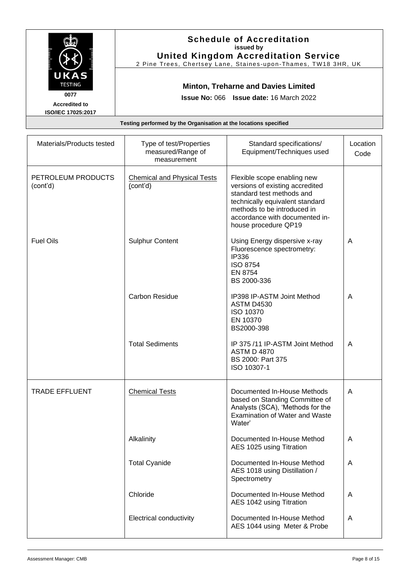|                                                                                     |                                                                                              | <b>Schedule of Accreditation</b><br>issued by<br><b>United Kingdom Accreditation Service</b><br>2 Pine Trees, Chertsey Lane, Staines-upon-Thames, TW18 3HR, UK |                  |
|-------------------------------------------------------------------------------------|----------------------------------------------------------------------------------------------|----------------------------------------------------------------------------------------------------------------------------------------------------------------|------------------|
| UKAS<br><b>TESTING</b><br>0077<br><b>Accredited to</b><br><b>ISO/IEC 17025:2017</b> | <b>Minton, Treharne and Davies Limited</b><br><b>Issue No: 066 Issue date: 16 March 2022</b> |                                                                                                                                                                |                  |
|                                                                                     | Testing performed by the Organisation at the locations specified                             |                                                                                                                                                                |                  |
| Materials/Products tested                                                           | Type of test/Properties<br>measured/Range of<br>measurement                                  | Standard specifications/<br>Equipment/Techniques used                                                                                                          | Location<br>Code |

| PETROLEUM PRODUCTS<br>(cont'd) | <b>Chemical and Physical Tests</b><br>(cont'd) | Flexible scope enabling new<br>versions of existing accredited<br>standard test methods and<br>technically equivalent standard<br>methods to be introduced in<br>accordance with documented in-<br>house procedure QP19 |   |
|--------------------------------|------------------------------------------------|-------------------------------------------------------------------------------------------------------------------------------------------------------------------------------------------------------------------------|---|
| <b>Fuel Oils</b>               | <b>Sulphur Content</b>                         | Using Energy dispersive x-ray<br>Fluorescence spectrometry:<br><b>IP336</b><br><b>ISO 8754</b><br>EN 8754<br>BS 2000-336                                                                                                | A |
|                                | <b>Carbon Residue</b>                          | IP398 IP-ASTM Joint Method<br><b>ASTM D4530</b><br>ISO 10370<br>EN 10370<br>BS2000-398                                                                                                                                  | A |
|                                | <b>Total Sediments</b>                         | IP 375 /11 IP-ASTM Joint Method<br><b>ASTM D 4870</b><br>BS 2000: Part 375<br>ISO 10307-1                                                                                                                               | A |
| <b>TRADE EFFLUENT</b>          | <b>Chemical Tests</b>                          | Documented In-House Methods<br>based on Standing Committee of<br>Analysts (SCA), 'Methods for the<br><b>Examination of Water and Waste</b><br>Water'                                                                    | A |
|                                | Alkalinity                                     | Documented In-House Method<br>AES 1025 using Titration                                                                                                                                                                  | A |
|                                | <b>Total Cyanide</b>                           | Documented In-House Method<br>AES 1018 using Distillation /<br>Spectrometry                                                                                                                                             | A |
|                                | Chloride                                       | Documented In-House Method<br>AES 1042 using Titration                                                                                                                                                                  | A |
|                                | <b>Electrical conductivity</b>                 | Documented In-House Method<br>AES 1044 using Meter & Probe                                                                                                                                                              | A |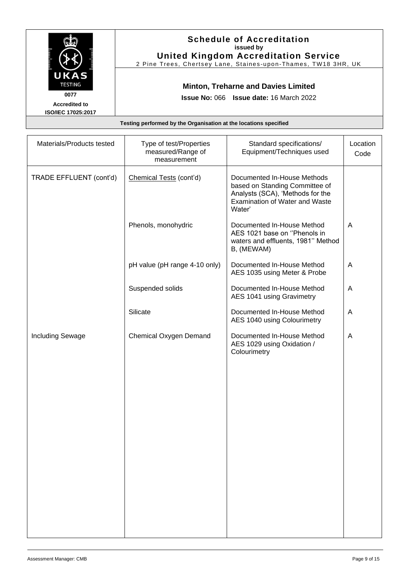|                                                                                     | <b>Schedule of Accreditation</b><br>issued by<br><b>United Kingdom Accreditation Service</b><br>2 Pine Trees, Chertsey Lane, Staines-upon-Thames, TW18 3HR, UK |
|-------------------------------------------------------------------------------------|----------------------------------------------------------------------------------------------------------------------------------------------------------------|
| UKAS<br><b>TESTING</b><br>0077<br><b>Accredited to</b><br><b>ISO/IEC 17025:2017</b> | <b>Minton, Treharne and Davies Limited</b><br><b>Issue No: 066 Issue date: 16 March 2022</b>                                                                   |
|                                                                                     | Testing performed by the Organisation at the locations specified                                                                                               |
|                                                                                     |                                                                                                                                                                |

| Materials/Products tested | Type of test/Properties<br>measured/Range of<br>measurement | Standard specifications/<br>Equipment/Techniques used                                                                                         | Location<br>Code |
|---------------------------|-------------------------------------------------------------|-----------------------------------------------------------------------------------------------------------------------------------------------|------------------|
| TRADE EFFLUENT (cont'd)   | Chemical Tests (cont'd)                                     | Documented In-House Methods<br>based on Standing Committee of<br>Analysts (SCA), 'Methods for the<br>Examination of Water and Waste<br>Water' |                  |
|                           | Phenols, monohydric                                         | Documented In-House Method<br>AES 1021 base on "Phenols in<br>waters and effluents, 1981" Method<br>B, (MEWAM)                                | A                |
|                           | pH value (pH range 4-10 only)                               | Documented In-House Method<br>AES 1035 using Meter & Probe                                                                                    | A                |
|                           | Suspended solids                                            | Documented In-House Method<br>AES 1041 using Gravimetry                                                                                       | A                |
|                           | Silicate                                                    | Documented In-House Method<br>AES 1040 using Colourimetry                                                                                     | A                |
| <b>Including Sewage</b>   | Chemical Oxygen Demand                                      | Documented In-House Method<br>AES 1029 using Oxidation /<br>Colourimetry                                                                      | A                |
|                           |                                                             |                                                                                                                                               |                  |
|                           |                                                             |                                                                                                                                               |                  |
|                           |                                                             |                                                                                                                                               |                  |
|                           |                                                             |                                                                                                                                               |                  |
|                           |                                                             |                                                                                                                                               |                  |
|                           |                                                             |                                                                                                                                               |                  |
|                           |                                                             |                                                                                                                                               |                  |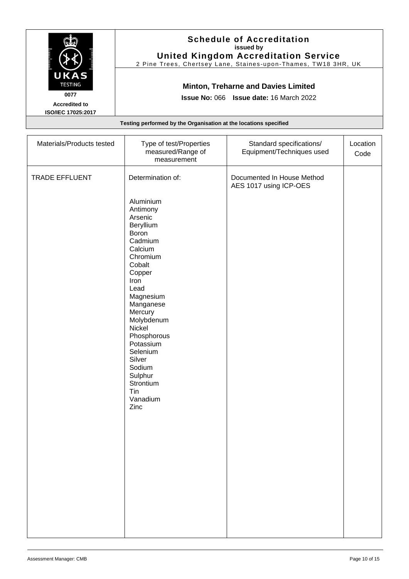| UKAS<br><b>TESTING</b><br>0077<br><b>Accredited to</b><br><b>ISO/IEC 17025:2017</b> |                                                                  | <b>Schedule of Accreditation</b><br>issued by<br><b>United Kingdom Accreditation Service</b><br>2 Pine Trees, Chertsey Lane, Staines-upon-Thames, TW18 3HR, UK<br><b>Minton, Treharne and Davies Limited</b><br><b>Issue No: 066 Issue date: 16 March 2022</b> |                  |
|-------------------------------------------------------------------------------------|------------------------------------------------------------------|----------------------------------------------------------------------------------------------------------------------------------------------------------------------------------------------------------------------------------------------------------------|------------------|
|                                                                                     | Testing performed by the Organisation at the locations specified |                                                                                                                                                                                                                                                                |                  |
| Materials/Products tested                                                           | Type of test/Properties<br>measured/Range of                     | Standard specifications/<br>Equipment/Techniques used                                                                                                                                                                                                          | Location<br>Code |

|                | measured/Range of<br>measurement                                                                                                                                                                                                                                                                                              | Equipment/Techniques used                            | Code |
|----------------|-------------------------------------------------------------------------------------------------------------------------------------------------------------------------------------------------------------------------------------------------------------------------------------------------------------------------------|------------------------------------------------------|------|
| TRADE EFFLUENT | Determination of:<br>Aluminium<br>Antimony<br>Arsenic<br>Beryllium<br>Boron<br>Cadmium<br>Calcium<br>Chromium<br>Cobalt<br>Copper<br>Iron<br>Lead<br>Magnesium<br>Manganese<br>Mercury<br>Molybdenum<br>Nickel<br>Phosphorous<br>Potassium<br>Selenium<br>Silver<br>Sodium<br>Sulphur<br>Strontium<br>Tin<br>Vanadium<br>Zinc | Documented In House Method<br>AES 1017 using ICP-OES |      |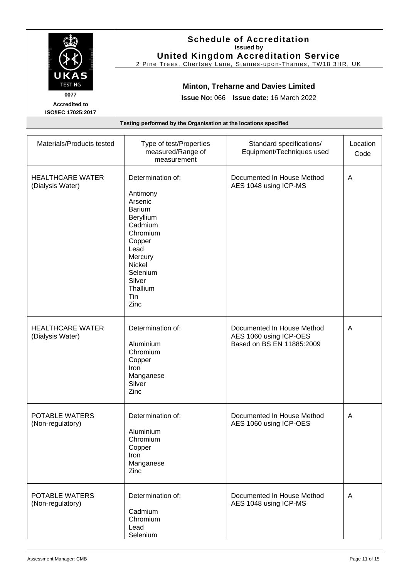| UKAS<br><b>TESTING</b><br>0077              |                                                                                                                                                                                       | <b>Schedule of Accreditation</b><br>issued by<br><b>United Kingdom Accreditation Service</b><br>2 Pine Trees, Chertsey Lane, Staines-upon-Thames, TW18 3HR, UK<br><b>Minton, Treharne and Davies Limited</b> |                  |
|---------------------------------------------|---------------------------------------------------------------------------------------------------------------------------------------------------------------------------------------|--------------------------------------------------------------------------------------------------------------------------------------------------------------------------------------------------------------|------------------|
| <b>Accredited to</b><br>ISO/IEC 17025:2017  | Issue No: 066 Issue date: 16 March 2022                                                                                                                                               |                                                                                                                                                                                                              |                  |
|                                             | Testing performed by the Organisation at the locations specified                                                                                                                      |                                                                                                                                                                                                              |                  |
| Materials/Products tested                   | Type of test/Properties<br>measured/Range of<br>measurement                                                                                                                           | Standard specifications/<br>Equipment/Techniques used                                                                                                                                                        | Location<br>Code |
| <b>HEALTHCARE WATER</b><br>(Dialysis Water) | Determination of:<br>Antimony<br>Arsenic<br><b>Barium</b><br>Beryllium<br>Cadmium<br>Chromium<br>Copper<br>Lead<br>Mercury<br>Nickel<br>Selenium<br>Silver<br>Thallium<br>Tin<br>Zinc | Documented In House Method<br>AES 1048 using ICP-MS                                                                                                                                                          | A                |
| <b>HEALTHCARE WATER</b><br>(Dialysis Water) | Determination of:<br>Aluminium<br>Chromium<br>Copper<br>Iron<br>Manganese<br>Silver<br>Zinc                                                                                           | Documented In House Method<br>AES 1060 using ICP-OES<br>Based on BS EN 11885:2009                                                                                                                            | A                |
| POTABLE WATERS<br>(Non-regulatory)          | Determination of:<br>Aluminium<br>Chromium<br>Copper<br>Iron<br>Manganese<br>Zinc                                                                                                     | Documented In House Method<br>AES 1060 using ICP-OES                                                                                                                                                         | A                |

POTABLE WATERS (Non-regulatory)

Determination of:

Cadmium Chromium Lead Selenium

A

Documented In House Method AES 1048 using ICP-MS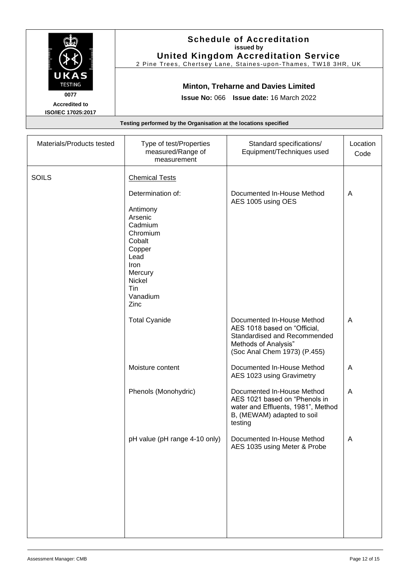| UKAS<br><b>TESTING</b><br>0077<br><b>Accredited to</b> | <b>Schedule of Accreditation</b><br>issued by<br><b>United Kingdom Accreditation Service</b><br>2 Pine Trees, Chertsey Lane, Staines-upon-Thames, TW18 3HR, UK<br><b>Minton, Treharne and Davies Limited</b><br><b>Issue No: 066 Issue date: 16 March 2022</b> |
|--------------------------------------------------------|----------------------------------------------------------------------------------------------------------------------------------------------------------------------------------------------------------------------------------------------------------------|
| <b>ISO/IEC 17025:2017</b>                              |                                                                                                                                                                                                                                                                |
|                                                        | Testing performed by the Organisation at the locations specified                                                                                                                                                                                               |
|                                                        |                                                                                                                                                                                                                                                                |

| Materials/Products tested | Type of test/Properties<br>measured/Range of<br>measurement                                                                                 | Standard specifications/<br>Equipment/Techniques used                                                                                              | Location<br>Code |
|---------------------------|---------------------------------------------------------------------------------------------------------------------------------------------|----------------------------------------------------------------------------------------------------------------------------------------------------|------------------|
| <b>SOILS</b>              | <b>Chemical Tests</b>                                                                                                                       |                                                                                                                                                    |                  |
|                           | Determination of:<br>Antimony<br>Arsenic<br>Cadmium<br>Chromium<br>Cobalt<br>Copper<br>Lead<br>Iron<br>Mercury<br>Nickel<br>Tin<br>Vanadium | Documented In-House Method<br>AES 1005 using OES                                                                                                   | $\overline{A}$   |
|                           | Zinc                                                                                                                                        |                                                                                                                                                    |                  |
|                           | <b>Total Cyanide</b>                                                                                                                        | Documented In-House Method<br>AES 1018 based on "Official,<br>Standardised and Recommended<br>Methods of Analysis"<br>(Soc Anal Chem 1973) (P.455) | $\overline{A}$   |
|                           | Moisture content                                                                                                                            | Documented In-House Method<br>AES 1023 using Gravimetry                                                                                            | $\overline{A}$   |
|                           | Phenols (Monohydric)                                                                                                                        | Documented In-House Method<br>AES 1021 based on "Phenols in<br>water and Effluents, 1981", Method<br>B, (MEWAM) adapted to soil<br>testing         | $\overline{A}$   |
|                           | pH value (pH range 4-10 only)                                                                                                               | Documented In-House Method<br>AES 1035 using Meter & Probe                                                                                         | A                |
|                           |                                                                                                                                             |                                                                                                                                                    |                  |
|                           |                                                                                                                                             |                                                                                                                                                    |                  |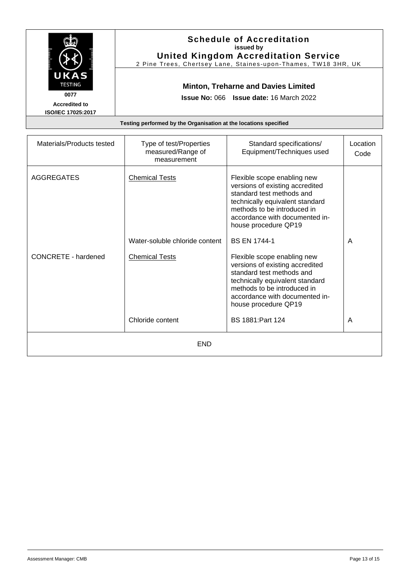|                                                                                     |                                                                  | <b>Schedule of Accreditation</b><br>issued by<br><b>United Kingdom Accreditation Service</b><br>2 Pine Trees, Chertsey Lane, Staines-upon-Thames, TW18 3HR, UK |                            |
|-------------------------------------------------------------------------------------|------------------------------------------------------------------|----------------------------------------------------------------------------------------------------------------------------------------------------------------|----------------------------|
| UKAS<br><b>TESTING</b><br>0077<br><b>Accredited to</b><br><b>ISO/IEC 17025:2017</b> |                                                                  | <b>Minton, Treharne and Davies Limited</b><br><b>Issue No: 066 Issue date: 16 March 2022</b>                                                                   |                            |
|                                                                                     | Testing performed by the Organisation at the locations specified |                                                                                                                                                                |                            |
| <b>Material Communications</b>                                                      |                                                                  | $\mathbf{O}$ to the set of the set of the set of $\mathbf{I}$                                                                                                  | the company of the company |

| Materials/Products tested  | Type of test/Properties<br>measured/Range of<br>measurement | Standard specifications/<br>Equipment/Techniques used                                                                                                                                                                   | Location<br>Code |
|----------------------------|-------------------------------------------------------------|-------------------------------------------------------------------------------------------------------------------------------------------------------------------------------------------------------------------------|------------------|
| <b>AGGREGATES</b>          | <b>Chemical Tests</b>                                       | Flexible scope enabling new<br>versions of existing accredited<br>standard test methods and<br>technically equivalent standard<br>methods to be introduced in<br>accordance with documented in-<br>house procedure QP19 |                  |
|                            | Water-soluble chloride content                              | <b>BS EN 1744-1</b>                                                                                                                                                                                                     | A                |
| <b>CONCRETE - hardened</b> | <b>Chemical Tests</b>                                       | Flexible scope enabling new<br>versions of existing accredited<br>standard test methods and<br>technically equivalent standard<br>methods to be introduced in<br>accordance with documented in-<br>house procedure QP19 |                  |
|                            | Chloride content                                            | BS 1881: Part 124                                                                                                                                                                                                       | A                |
|                            | <b>END</b>                                                  |                                                                                                                                                                                                                         |                  |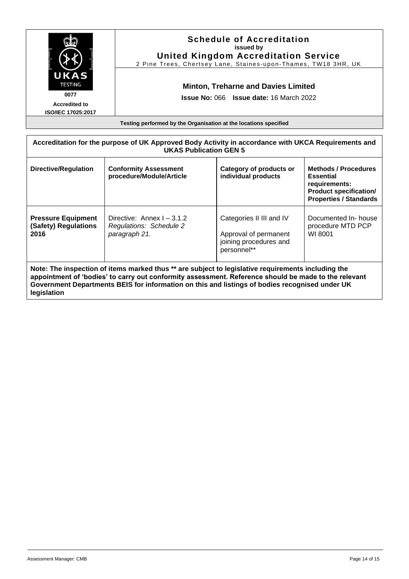| <b>UKAS</b><br><b>TESTING</b><br>0077<br><b>Accredited to</b><br>ISO/IEC 17025:2017                                                                                                                                                                                             |                                                                        | <b>Schedule of Accreditation</b><br>issued by<br><b>United Kingdom Accreditation Service</b><br>2 Pine Trees, Chertsey Lane, Staines-upon-Thames, TW18 3HR, UK<br><b>Minton, Treharne and Davies Limited</b><br><b>Issue No: 066 Issue date: 16 March 2022</b> |                                                      |  |  |
|---------------------------------------------------------------------------------------------------------------------------------------------------------------------------------------------------------------------------------------------------------------------------------|------------------------------------------------------------------------|----------------------------------------------------------------------------------------------------------------------------------------------------------------------------------------------------------------------------------------------------------------|------------------------------------------------------|--|--|
|                                                                                                                                                                                                                                                                                 |                                                                        | Testing performed by the Organisation at the locations specified                                                                                                                                                                                               |                                                      |  |  |
| Accreditation for the purpose of UK Approved Body Activity in accordance with UKCA Requirements and<br><b>UKAS Publication GEN 5</b>                                                                                                                                            |                                                                        |                                                                                                                                                                                                                                                                |                                                      |  |  |
| Category of products or<br><b>Directive/Regulation</b><br><b>Conformity Assessment</b><br><b>Methods / Procedures</b><br>procedure/Module/Article<br>individual products<br><b>Essential</b><br>requirements:<br><b>Product specification/</b><br><b>Properties / Standards</b> |                                                                        |                                                                                                                                                                                                                                                                |                                                      |  |  |
| <b>Pressure Equipment</b><br>(Safety) Regulations<br>2016                                                                                                                                                                                                                       | Directive: Annex I - 3.1.2<br>Regulations: Schedule 2<br>paragraph 21. | Categories II III and IV<br>Approval of permanent<br>joining procedures and<br>personnel**                                                                                                                                                                     | Documented In- house<br>procedure MTD PCP<br>WI 8001 |  |  |

**appointment of 'bodies' to carry out conformity assessment. Reference should be made to the relevant Government Departments BEIS for information on this and listings of bodies recognised under UK legislation**